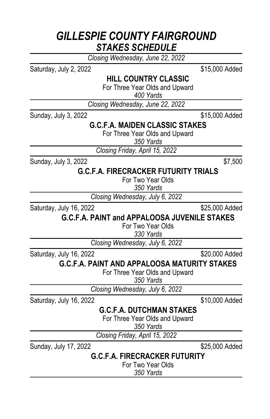### *GILLESPIE COUNTY FAIRGROUND STAKES SCHEDULE*

*Closing Wednesday, June 22, 2022*

Saturday, July 2, 2022 **\$15,000 Added** 

**HILL COUNTRY CLASSIC**

For Three Year Olds and Upward

*400 Yards*

*Closing Wednesday, June 22, 2022*

Sunday, July 3, 2022 **\$15,000 Added** 

### **G.C.F.A. MAIDEN CLASSIC STAKES**

For Three Year Olds and Upward

*350 Yards*

*Closing Friday, April 15, 2022*

Sunday, July 3, 2022  $$7,500$ 

### **G.C.F.A. FIRECRACKER FUTURITY TRIALS**

For Two Year Olds

*350 Yards*

*Closing Wednesday, July 6, 2022*

Saturday, July 16, 2022 \$25,000 Added

**G.C.F.A. PAINT and APPALOOSA JUVENILE STAKES**

For Two Year Olds

*330 Yards*

*Closing Wednesday, July 6, 2022*

Saturday, July 16, 2022 \$20,000 Added

**G.C.F.A. PAINT AND APPALOOSA MATURITY STAKES**

For Three Year Olds and Upward

*350 Yards*

*Closing Wednesday, July 6, 2022*

Saturday, July 16, 2022 \$10,000 Added

#### **G.C.F.A. DUTCHMAN STAKES**

For Three Year Olds and Upward

*350 Yards*

*Closing Friday, April 15, 2022*

Sunday, July 17, 2022 \$25,000 Added

**G.C.F.A. FIRECRACKER FUTURITY**

For Two Year Olds

*350 Yards*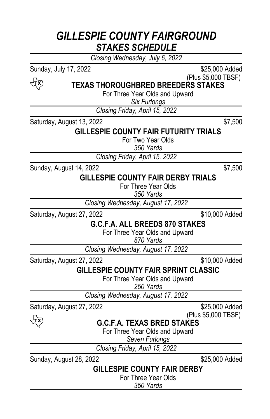# *GILLESPIE COUNTY FAIRGROUND STAKES SCHEDULE*

*Closing Wednesday, July 6, 2022*

र्पूरे

Sunday, July 17, 2022 **\$25,000 Added** (Plus \$5,000 TBSF)

**TEXAS THOROUGHBRED BREEDERS STAKES**

For Three Year Olds and Upward

*Six Furlongs*

*Closing Friday, April 15, 2022*

Saturday, August 13, 2022 \$7,500

#### **GILLESPIE COUNTY FAIR FUTURITY TRIALS**

For Two Year Olds

*350 Yards*

*Closing Friday, April 15, 2022*

Sunday, August 14, 2022 **\$7,500** 

#### **GILLESPIE COUNTY FAIR DERBY TRIALS**

For Three Year Olds

*350 Yards*

*Closing Wednesday, August 17, 2022*

Saturday, August 27, 2022 **\$10,000 Added** 

**G.C.F.A. ALL BREEDS 870 STAKES**

For Three Year Olds and Upward

*870 Yards*

*Closing Wednesday, August 17, 2022*

Saturday, August 27, 2022 **\$10,000 Added** 

**GILLESPIE COUNTY FAIR SPRINT CLASSIC**

For Three Year Olds and Upward

*250 Yards*

*Closing Wednesday, August 17, 2022*

Saturday, August 27, 2022 **\$25,000 Added** 

र्पूरे

(Plus \$5,000 TBSF)

**G.C.F.A. TEXAS BRED STAKES**

For Three Year Olds and Upward

*Seven Furlongs*

*Closing Friday, April 15, 2022*

Sunday, August 28, 2022 \$25,000 Added

#### **GILLESPIE COUNTY FAIR DERBY**

For Three Year Olds

*350 Yards*